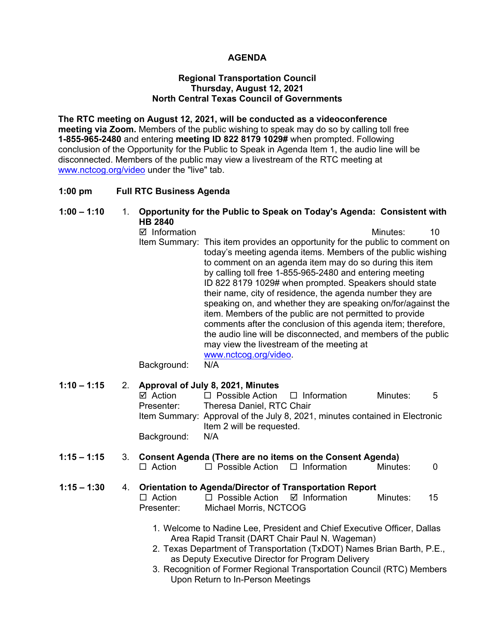### **AGENDA**

#### **Regional Transportation Council Thursday, August 12, 2021 North Central Texas Council of Governments**

**The RTC meeting on August 12, 2021, will be conducted as a videoconference meeting via Zoom.** Members of the public wishing to speak may do so by calling toll free **1-855-965-2480** and entering **meeting ID 822 8179 1029#** when prompted. Following conclusion of the Opportunity for the Public to Speak in Agenda Item 1, the audio line will be disconnected. Members of the public may view a livestream of the RTC meeting at [www.nctcog.org/video](http://www.nctcog.org/video) under the "live" tab.

#### **1:00 pm Full RTC Business Agenda**

# **1:00 – 1:10** 1. **Opportunity for the Public to Speak on Today's Agenda: Consistent with HB 2840**

 $\boxtimes$  Information 10 Item Summary: This item provides an opportunity for the public to comment on today's meeting agenda items. Members of the public wishing to comment on an agenda item may do so during this item by calling toll free 1-855-965-2480 and entering meeting ID 822 8179 1029# when prompted. Speakers should state their name, city of residence, the agenda number they are speaking on, and whether they are speaking on/for/against the item. Members of the public are not permitted to provide comments after the conclusion of this agenda item; therefore, the audio line will be disconnected, and members of the public may view the livestream of the meeting at [www.nctcog.org/video.](http://www.nctcog.org/video)

Background: N/A

## **1:10 – 1:15** 2. **Approval of July 8, 2021, Minutes**

| ⊠ Action    | $\Box$ Possible Action $\Box$ Information |                                                                             | Minutes: | - 5 |
|-------------|-------------------------------------------|-----------------------------------------------------------------------------|----------|-----|
| Presenter:  | Theresa Daniel, RTC Chair                 |                                                                             |          |     |
|             |                                           | Item Summary: Approval of the July 8, 2021, minutes contained in Electronic |          |     |
|             | Item 2 will be requested.                 |                                                                             |          |     |
| Background: | N/A                                       |                                                                             |          |     |

### **1:15 – 1:15** 3. **Consent Agenda (There are no items on the Consent Agenda)**

 $\Box$  Action  $\Box$  Possible Action  $\Box$  Information Minutes: 0

# **1:15 – 1:30** 4. **Orientation to Agenda/Director of Transportation Report**

- $\Box$  Possible Action  $\Box$  Information Minutes: 15 Presenter: Michael Morris, NCTCOG
	- 1. Welcome to Nadine Lee, President and Chief Executive Officer, Dallas Area Rapid Transit (DART Chair Paul N. Wageman)
	- 2. Texas Department of Transportation (TxDOT) Names Brian Barth, P.E., as Deputy Executive Director for Program Delivery
	- 3. Recognition of Former Regional Transportation Council (RTC) Members Upon Return to In-Person Meetings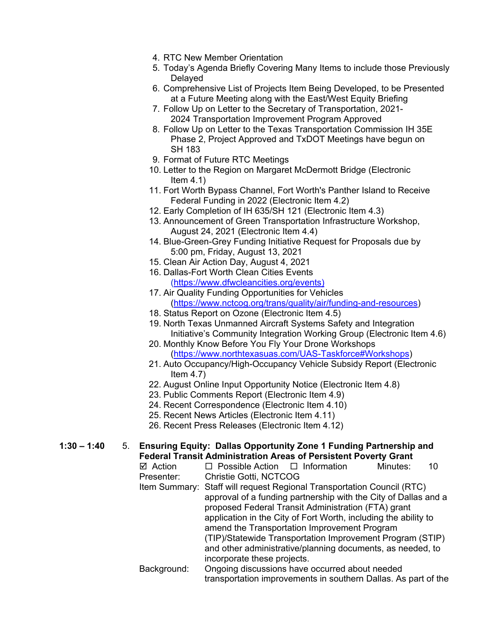- 4. RTC New Member Orientation
- 5. Today's Agenda Briefly Covering Many Items to include those Previously **Delaved**
- 6. Comprehensive List of Projects Item Being Developed, to be Presented at a Future Meeting along with the East/West Equity Briefing
- 7. Follow Up on Letter to the Secretary of Transportation, 2021- 2024 Transportation Improvement Program Approved
- 8. Follow Up on Letter to the Texas Transportation Commission IH 35E Phase 2, Project Approved and TxDOT Meetings have begun on SH 183
- 9. Format of Future RTC Meetings
- 10. Letter to the Region on Margaret McDermott Bridge (Electronic Item  $4.1$ )
- 11. Fort Worth Bypass Channel, Fort Worth's Panther Island to Receive Federal Funding in 2022 (Electronic Item 4.2)
- 12. Early Completion of IH 635/SH 121 (Electronic Item 4.3)
- 13. Announcement of Green Transportation Infrastructure Workshop, August 24, 2021 (Electronic Item 4.4)
- 14. Blue-Green-Grey Funding Initiative Request for Proposals due by 5:00 pm, Friday, August 13, 2021
- 15. Clean Air Action Day, August 4, 2021
- 16. Dallas-Fort Worth Clean Cities Events [\(https://www.dfwcleancities.org/events\)](https://www.dfwcleancities.org/events)
- 17. Air Quality Funding Opportunities for Vehicles [\(https://www.nctcog.org/trans/quality/air/funding-and-resources\)](https://www.nctcog.org/trans/quality/air/funding-and-resources)
- 18. Status Report on Ozone (Electronic Item 4.5)
- 19. North Texas Unmanned Aircraft Systems Safety and Integration Initiative's Community Integration Working Group (Electronic Item 4.6)
- 20. Monthly Know Before You Fly Your Drone Workshops [\(https://www.northtexasuas.com/UAS-Taskforce#Workshops\)](https://www.northtexasuas.com/UAS-Taskforce#Workshops)
- 21. Auto Occupancy/High-Occupancy Vehicle Subsidy Report (Electronic Item  $4.7$ )
- 22. August Online Input Opportunity Notice (Electronic Item 4.8)
- 23. Public Comments Report (Electronic Item 4.9)
- 24. Recent Correspondence (Electronic Item 4.10)
- 25. Recent News Articles (Electronic Item 4.11)
- 26. Recent Press Releases (Electronic Item 4.12)

# **1:30 – 1:40** 5. **Ensuring Equity: Dallas Opportunity Zone 1 Funding Partnership and Federal Transit Administration Areas of Persistent Poverty Grant**

- $\Box$  Possible Action  $\Box$  Information Minutes: 10 Presenter: Christie Gotti, NCTCOG
- Item Summary: Staff will request Regional Transportation Council (RTC) approval of a funding partnership with the City of Dallas and a proposed Federal Transit Administration (FTA) grant application in the City of Fort Worth, including the ability to amend the Transportation Improvement Program (TIP)/Statewide Transportation Improvement Program (STIP) and other administrative/planning documents, as needed, to incorporate these projects.
- Background: Ongoing discussions have occurred about needed transportation improvements in southern Dallas. As part of the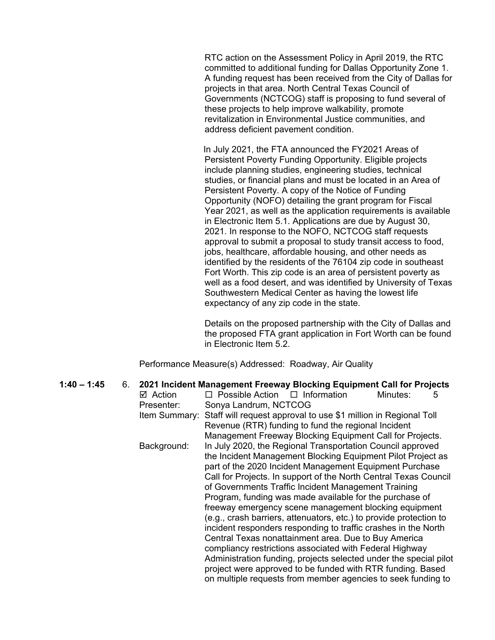RTC action on the Assessment Policy in April 2019, the RTC committed to additional funding for Dallas Opportunity Zone 1. A funding request has been received from the City of Dallas for projects in that area. North Central Texas Council of Governments (NCTCOG) staff is proposing to fund several of these projects to help improve walkability, promote revitalization in Environmental Justice communities, and address deficient pavement condition.

In July 2021, the FTA announced the FY2021 Areas of Persistent Poverty Funding Opportunity. Eligible projects include planning studies, engineering studies, technical studies, or financial plans and must be located in an Area of Persistent Poverty. A copy of the Notice of Funding Opportunity (NOFO) detailing the grant program for Fiscal Year 2021, as well as the application requirements is available in Electronic Item 5.1. Applications are due by August 30, 2021. In response to the NOFO, NCTCOG staff requests approval to submit a proposal to study transit access to food, jobs, healthcare, affordable housing, and other needs as identified by the residents of the 76104 zip code in southeast Fort Worth. This zip code is an area of persistent poverty as well as a food desert, and was identified by University of Texas Southwestern Medical Center as having the lowest life expectancy of any zip code in the state.

Details on the proposed partnership with the City of Dallas and the proposed FTA grant application in Fort Worth can be found in Electronic Item 5.2.

Performance Measure(s) Addressed: Roadway, Air Quality

**1:40 – 1:45** 6. **2021 Incident Management Freeway Blocking Equipment Call for Projects**  $\boxtimes$  Action  $\square$  Possible Action  $\square$  Information Minutes: 5 Presenter: Sonya Landrum, NCTCOG Item Summary: Staff will request approval to use \$1 million in Regional Toll Revenue (RTR) funding to fund the regional Incident Management Freeway Blocking Equipment Call for Projects. Background: In July 2020, the Regional Transportation Council approved the Incident Management Blocking Equipment Pilot Project as part of the 2020 Incident Management Equipment Purchase Call for Projects. In support of the North Central Texas Council of Governments Traffic Incident Management Training Program, funding was made available for the purchase of freeway emergency scene management blocking equipment (e.g., crash barriers, attenuators, etc.) to provide protection to incident responders responding to traffic crashes in the North Central Texas nonattainment area. Due to Buy America compliancy restrictions associated with Federal Highway Administration funding, projects selected under the special pilot project were approved to be funded with RTR funding. Based on multiple requests from member agencies to seek funding to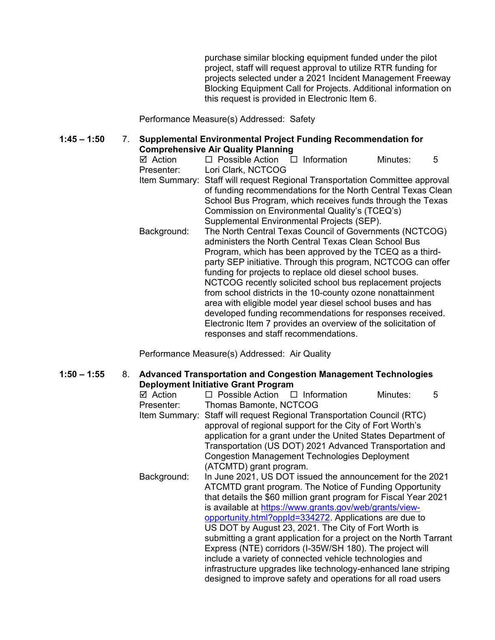purchase similar blocking equipment funded under the pilot project, staff will request approval to utilize RTR funding for projects selected under a 2021 Incident Management Freeway Blocking Equipment Call for Projects. Additional information on this request is provided in Electronic Item 6.

Performance Measure(s) Addressed: Safety

# **1:45 – 1:50** 7. **Supplemental Environmental Project Funding Recommendation for**

- **Comprehensive Air Quality Planning**  $\Box$  Possible Action  $\Box$  Information Minutes: 5 Presenter: Lori Clark, NCTCOG Item Summary: Staff will request Regional Transportation Committee approval of funding recommendations for the North Central Texas Clean School Bus Program, which receives funds through the Texas Commission on Environmental Quality's (TCEQ's)
- Supplemental Environmental Projects (SEP). Background: The North Central Texas Council of Governments (NCTCOG) administers the North Central Texas Clean School Bus Program, which has been approved by the TCEQ as a thirdparty SEP initiative. Through this program, NCTCOG can offer funding for projects to replace old diesel school buses. NCTCOG recently solicited school bus replacement projects from school districts in the 10-county ozone nonattainment area with eligible model year diesel school buses and has developed funding recommendations for responses received. Electronic Item 7 provides an overview of the solicitation of responses and staff recommendations.

Performance Measure(s) Addressed: Air Quality

#### **1:50 – 1:55** 8. **Advanced Transportation and Congestion Management Technologies Deployment Initiative Grant Program**

| ⊠ Action    | $\Box$ Possible Action $\Box$ Information                                       |                                                                   | Minutes: | 5 |
|-------------|---------------------------------------------------------------------------------|-------------------------------------------------------------------|----------|---|
| Presenter:  | Thomas Bamonte, NCTCOG                                                          |                                                                   |          |   |
|             | Item Summary: Staff will request Regional Transportation Council (RTC)          |                                                                   |          |   |
|             |                                                                                 | approval of regional support for the City of Fort Worth's         |          |   |
|             |                                                                                 | application for a grant under the United States Department of     |          |   |
|             |                                                                                 | Transportation (US DOT) 2021 Advanced Transportation and          |          |   |
|             | <b>Congestion Management Technologies Deployment</b><br>(ATCMTD) grant program. |                                                                   |          |   |
|             |                                                                                 |                                                                   |          |   |
| Background: |                                                                                 | In June 2021, US DOT issued the announcement for the 2021         |          |   |
|             | ATCMTD grant program. The Notice of Funding Opportunity                         |                                                                   |          |   |
|             |                                                                                 | that details the \$60 million grant program for Fiscal Year 2021  |          |   |
|             |                                                                                 | is available at https://www.grants.gov/web/grants/view-           |          |   |
|             |                                                                                 | opportunity.html?oppId=334272. Applications are due to            |          |   |
|             |                                                                                 | US DOT by August 23, 2021. The City of Fort Worth is              |          |   |
|             |                                                                                 | submitting a grant application for a project on the North Tarrant |          |   |
|             |                                                                                 | Express (NTE) corridors (I-35W/SH 180). The project will          |          |   |
|             |                                                                                 | include a variety of connected vehicle technologies and           |          |   |
|             |                                                                                 | infrastructure upgrades like technology-enhanced lane striping    |          |   |
|             |                                                                                 | designed to improve safety and operations for all road users      |          |   |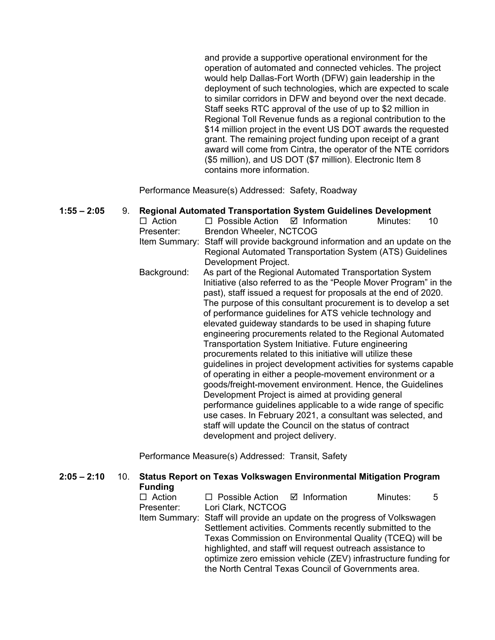and provide a supportive operational environment for the operation of automated and connected vehicles. The project would help Dallas-Fort Worth (DFW) gain leadership in the deployment of such technologies, which are expected to scale to similar corridors in DFW and beyond over the next decade. Staff seeks RTC approval of the use of up to \$2 million in Regional Toll Revenue funds as a regional contribution to the \$14 million project in the event US DOT awards the requested grant. The remaining project funding upon receipt of a grant award will come from Cintra, the operator of the NTE corridors (\$5 million), and US DOT (\$7 million). Electronic Item 8 contains more information.

Performance Measure(s) Addressed: Safety, Roadway

**1:55 – 2:05** 9. **Regional Automated Transportation System Guidelines Development**   $\Box$  Action  $\Box$  Possible Action  $\Box$  Information Minutes: 10 Presenter: Brendon Wheeler, NCTCOG Item Summary: Staff will provide background information and an update on the Regional Automated Transportation System (ATS) Guidelines Development Project. Background: As part of the Regional Automated Transportation System Initiative (also referred to as the "People Mover Program" in the past), staff issued a request for proposals at the end of 2020. The purpose of this consultant procurement is to develop a set of performance guidelines for ATS vehicle technology and elevated guideway standards to be used in shaping future engineering procurements related to the Regional Automated Transportation System Initiative. Future engineering procurements related to this initiative will utilize these guidelines in project development activities for systems capable of operating in either a people-movement environment or a goods/freight-movement environment. Hence, the Guidelines Development Project is aimed at providing general performance guidelines applicable to a wide range of specific use cases. In February 2021, a consultant was selected, and staff will update the Council on the status of contract development and project delivery.

Performance Measure(s) Addressed: Transit, Safety

| $2:05 - 2:10$ | 10. | Status Report on Texas Volkswagen Environmental Mitigation Program<br><b>Funding</b> |                                                                          |                                                           |          |   |  |
|---------------|-----|--------------------------------------------------------------------------------------|--------------------------------------------------------------------------|-----------------------------------------------------------|----------|---|--|
|               |     | $\Box$ Action                                                                        | $\Box$ Possible Action $\Box$ Information                                |                                                           | Minutes: | 5 |  |
|               |     | Presenter:                                                                           | Lori Clark, NCTCOG                                                       |                                                           |          |   |  |
|               |     |                                                                                      | Item Summary: Staff will provide an update on the progress of Volkswagen |                                                           |          |   |  |
|               |     |                                                                                      |                                                                          | Settlement activities. Comments recently submitted to the |          |   |  |
|               |     |                                                                                      | Texas Commission on Environmental Quality (TCEQ) will be                 |                                                           |          |   |  |
|               |     |                                                                                      | highlighted, and staff will request outreach assistance to               |                                                           |          |   |  |
|               |     |                                                                                      | optimize zero emission vehicle (ZEV) infrastructure funding for          |                                                           |          |   |  |
|               |     |                                                                                      | the North Central Texas Council of Governments area.                     |                                                           |          |   |  |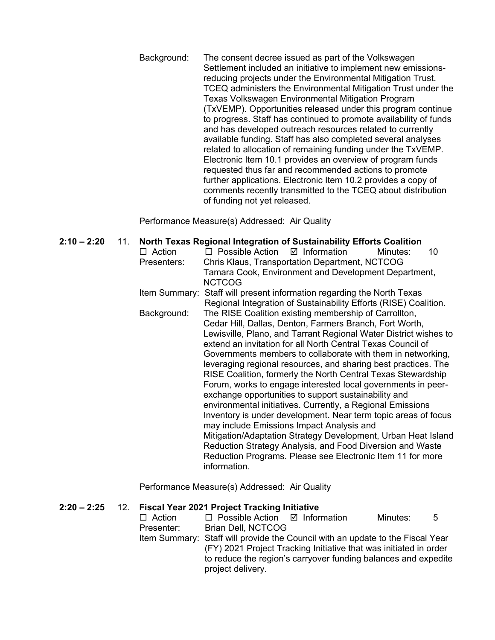Background: The consent decree issued as part of the Volkswagen Settlement included an initiative to implement new emissionsreducing projects under the Environmental Mitigation Trust. TCEQ administers the Environmental Mitigation Trust under the Texas Volkswagen Environmental Mitigation Program (TxVEMP). Opportunities released under this program continue to progress. Staff has continued to promote availability of funds and has developed outreach resources related to currently available funding. Staff has also completed several analyses related to allocation of remaining funding under the TxVEMP. Electronic Item 10.1 provides an overview of program funds requested thus far and recommended actions to promote further applications. Electronic Item 10.2 provides a copy of comments recently transmitted to the TCEQ about distribution of funding not yet released.

Performance Measure(s) Addressed: Air Quality

| $2:10 - 2:20$ | $\Box$ Action<br>Presenters: | 11. North Texas Regional Integration of Sustainability Efforts Coalition<br>$\boxtimes$ Information<br>$\Box$ Possible Action<br>Minutes:<br>10<br>Chris Klaus, Transportation Department, NCTCOG<br>Tamara Cook, Environment and Development Department,<br><b>NCTCOG</b>                                                                                                                                                                                                                                                                                                                                                                                                                                                                                                                                                                                                                                                                                            |  |  |
|---------------|------------------------------|-----------------------------------------------------------------------------------------------------------------------------------------------------------------------------------------------------------------------------------------------------------------------------------------------------------------------------------------------------------------------------------------------------------------------------------------------------------------------------------------------------------------------------------------------------------------------------------------------------------------------------------------------------------------------------------------------------------------------------------------------------------------------------------------------------------------------------------------------------------------------------------------------------------------------------------------------------------------------|--|--|
|               | Item Summary:                | Staff will present information regarding the North Texas<br>Regional Integration of Sustainability Efforts (RISE) Coalition.                                                                                                                                                                                                                                                                                                                                                                                                                                                                                                                                                                                                                                                                                                                                                                                                                                          |  |  |
|               | Background:                  | The RISE Coalition existing membership of Carrollton,<br>Cedar Hill, Dallas, Denton, Farmers Branch, Fort Worth,<br>Lewisville, Plano, and Tarrant Regional Water District wishes to<br>extend an invitation for all North Central Texas Council of<br>Governments members to collaborate with them in networking,<br>leveraging regional resources, and sharing best practices. The<br>RISE Coalition, formerly the North Central Texas Stewardship<br>Forum, works to engage interested local governments in peer-<br>exchange opportunities to support sustainability and<br>environmental initiatives. Currently, a Regional Emissions<br>Inventory is under development. Near term topic areas of focus<br>may include Emissions Impact Analysis and<br>Mitigation/Adaptation Strategy Development, Urban Heat Island<br>Reduction Strategy Analysis, and Food Diversion and Waste<br>Reduction Programs. Please see Electronic Item 11 for more<br>information. |  |  |

Performance Measure(s) Addressed: Air Quality

# **2:20 – 2:25** 12. **Fiscal Year 2021 Project Tracking Initiative**

 $\Box$  Possible Action  $\Box$  Information Minutes: 5 Presenter: Brian Dell, NCTCOG Item Summary: Staff will provide the Council with an update to the Fiscal Year (FY) 2021 Project Tracking Initiative that was initiated in order to reduce the region's carryover funding balances and expedite project delivery.